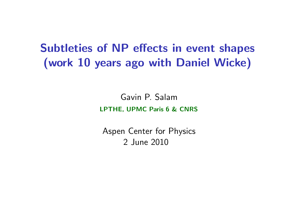#### Subtleties of NP effects in event shapes (work 10 years ago with Daniel Wicke)

Gavin P. Salam LPTHE, UPMC Paris 6 & CNRS

<span id="page-0-0"></span>Aspen Center for Physics 2 June 2010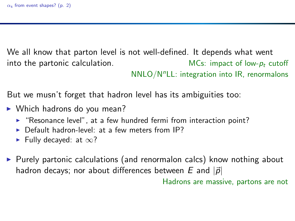We all know that parton level is not well-defined. It depends what went into the partonic calculation.  $MCs:$  impact of low- $p_t$  cutoff

 $NNLO/N<sup>n</sup>LL$ : integration into IR, renormalons

But we musn't forget that hadron level has its ambiguities too:

- $\triangleright$  Which hadrons do you mean?
	- ► "Resonance level", at a few hundred fermi from interaction point?
	- ▶ Default hadron-level: at a few meters from IP?
	- Fully decayed: at  $\infty$ ?
- ▶ Purely partonic calculations (and renormalon calcs) know nothing about hadron decays; nor about differences between E and  $|\vec{p}|$

Hadrons are massive, partons are not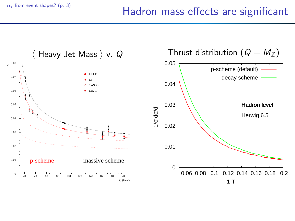### $α<sub>s</sub>$  [from event shapes?](#page-0-0) (p. 3) Hadron mass effects are significant

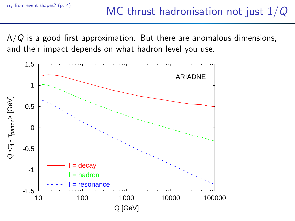$\Lambda/Q$  is a good first approximation. But there are anomalous dimensions, and their impact depends on what hadron level you use.

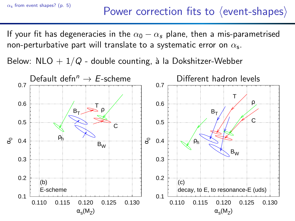If your fit has degeneracies in the  $\alpha_0 - \alpha_s$  plane, then a mis-parametrised non-perturbative part will translate to a systematic error on  $\alpha_\mathsf{s}.$ 

Below: NLO  $+1/Q$  - double counting, à la Dokshitzer-Webber

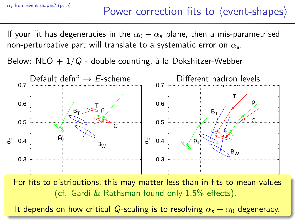If your fit has degeneracies in the  $\alpha_0 - \alpha_s$  plane, then a mis-parametrised non-perturbative part will translate to a systematic error on  $\alpha_\mathsf{s}.$ 

Below: NLO  $+1/Q$  - double counting, à la Dokshitzer-Webber



For fits to distributions, this may matter less than in fits to mean-values  $\epsilon$ nu<br>.  $(cf.$  Gardi & Rathsman found only  $1.5\%$  effects).

0.110 0.115 0.120 0.125 0.130 w cri It depends on how critical Q-scaling is to resolving  $\alpha_{\mathsf{s}}-\alpha_{\mathsf{0}}$  degeneracy.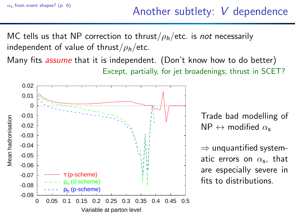MC tells us that NP correction to thrust/ $\rho_h$ /etc. is not necessarily independent of value of thrust/ $\rho_h$ /etc.

Many fits *assume* that it is independent. (Don't know how to do better) Except, partially, for jet broadenings; thrust in SCET?



Trade bad modelling of  $NP \leftrightarrow$  modified  $\alpha_{s}$ 

 $\Rightarrow$  unquantified systematic errors on  $\alpha_{\mathsf{s}}$ , that are especially severe in fits to distributions.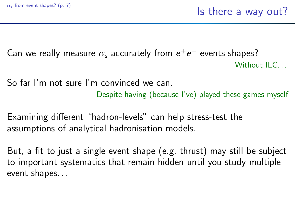Can we really measure  $\alpha_{\sf s}$  accurately from  ${\sf e}^+{\sf e}^-$  events shapes? Without  $II$   $C$ .

So far I'm not sure I'm convinced we can. Despite having (because I've) played these games myself

Examining different "hadron-levels" can help stress-test the assumptions of analytical hadronisation models.

But, a fit to just a single event shape (e.g. thrust) may still be subject to important systematics that remain hidden until you study multiple event shapes. . .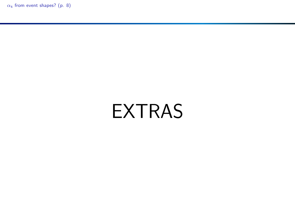$\alpha_s$  [from event shapes?](#page-0-0) (p. 8)

# EXTRAS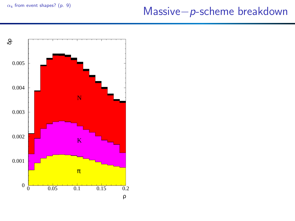## <sup>α</sup><sup>s</sup> [from event shapes?](#page-0-0) (p. 9) Massive−p-scheme breakdown